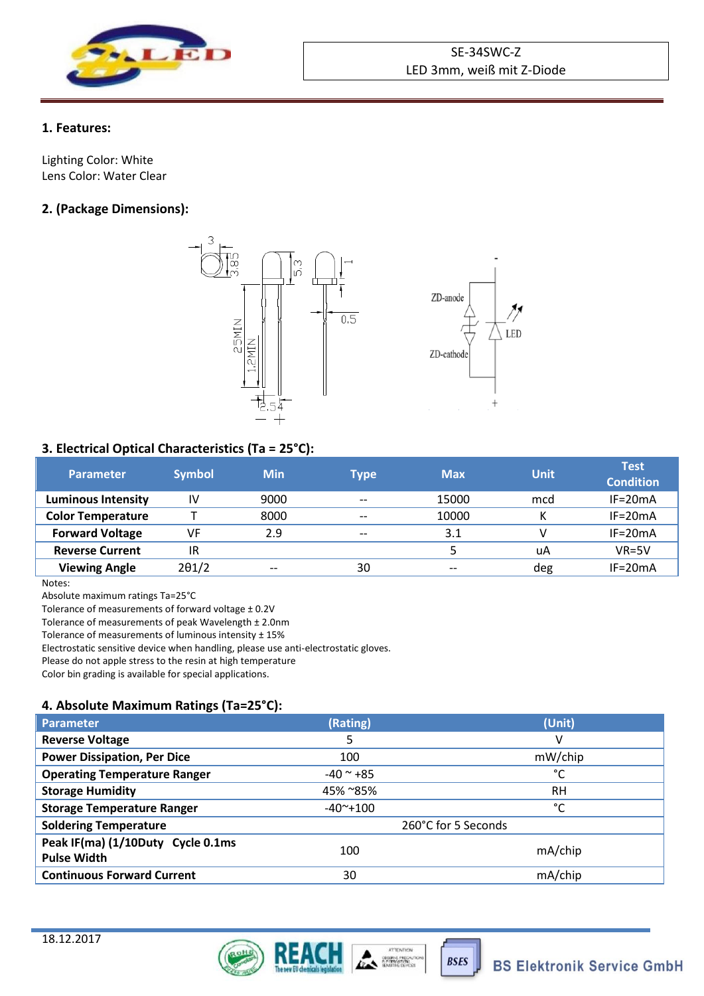

## **1. Features:**

Lighting Color: White Lens Color: Water Clear

# **2. (Package Dimensions):**



## **3. Electrical Optical Characteristics (Ta = 25°C):**

| <b>Parameter</b>          | <b>Symbol</b> | <b>Min</b> | Type  | <b>Max</b> | Unit | <b>Test</b><br><b>Condition</b> |
|---------------------------|---------------|------------|-------|------------|------|---------------------------------|
| <b>Luminous Intensity</b> | IV            | 9000       | $- -$ | 15000      | mcd  | $IF = 20mA$                     |
| <b>Color Temperature</b>  |               | 8000       | $- -$ | 10000      | v    | $IF = 20mA$                     |
| <b>Forward Voltage</b>    | VF            | 2.9        | $- -$ | 3.1        |      | $IF = 20mA$                     |
| <b>Reverse Current</b>    | IR            |            |       |            | uA   | $VR = 5V$                       |
| <b>Viewing Angle</b>      | $2\theta$ 1/2 | $- -$      | 30    | $- -$      | deg  | $IF = 20mA$                     |

Notes:

Absolute maximum ratings Ta=25°C

Tolerance of measurements of forward voltage ± 0.2V

Tolerance of measurements of peak Wavelength ± 2.0nm

Tolerance of measurements of luminous intensity ± 15%

Electrostatic sensitive device when handling, please use anti-electrostatic gloves.

Please do not apple stress to the resin at high temperature

Color bin grading is available for special applications.

## **4. Absolute Maximum Ratings (Ta=25°C):**

| <b>Parameter</b>                                        | (Rating)             | (Unit)    |  |
|---------------------------------------------------------|----------------------|-----------|--|
| <b>Reverse Voltage</b>                                  | 5                    | v         |  |
| <b>Power Dissipation, Per Dice</b>                      | 100                  | mW/chip   |  |
| <b>Operating Temperature Ranger</b>                     | $-40$ $^{\circ}$ +85 | °C        |  |
| <b>Storage Humidity</b>                                 | 45% ~85%             | <b>RH</b> |  |
| <b>Storage Temperature Ranger</b>                       | $-40^{\sim}+100$     | °C        |  |
| <b>Soldering Temperature</b>                            | 260°C for 5 Seconds  |           |  |
| Peak IF(ma) (1/10Duty Cycle 0.1ms<br><b>Pulse Width</b> | 100                  | mA/chip   |  |
| <b>Continuous Forward Current</b>                       | 30                   | mA/chip   |  |





**BSES**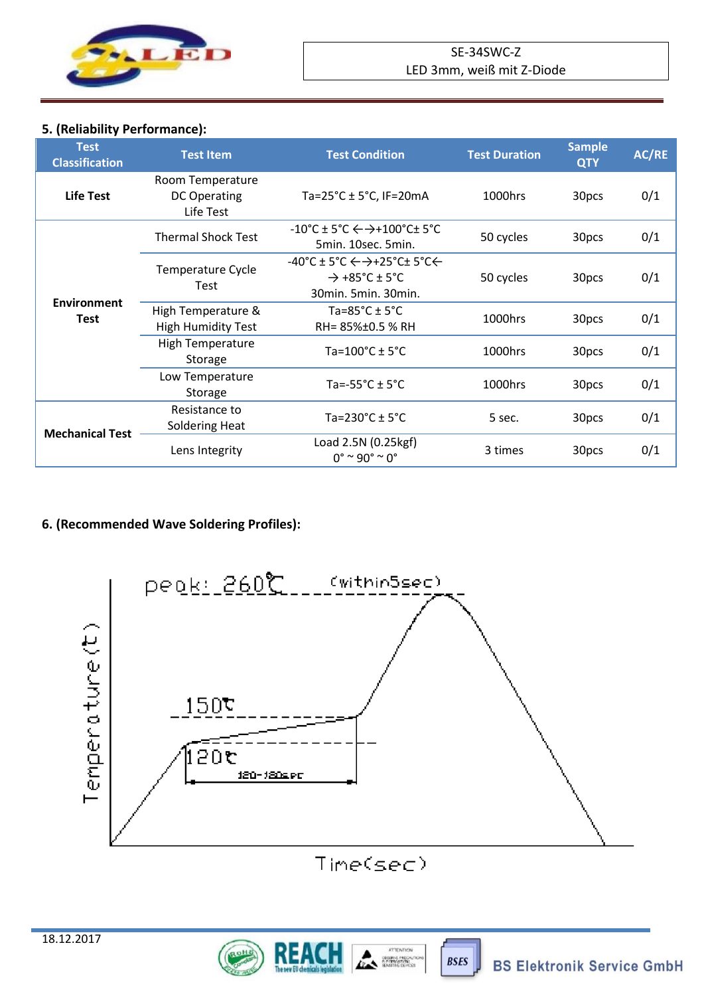

# **5. (Reliability Performance):**

| <b>Test</b><br><b>Classification</b> | <b>Test Item</b>                                     | <b>Test Condition</b>                                                                                                        | <b>Test Duration</b> | <b>Sample</b><br><b>QTY</b> | AC/RE |
|--------------------------------------|------------------------------------------------------|------------------------------------------------------------------------------------------------------------------------------|----------------------|-----------------------------|-------|
| <b>Life Test</b>                     | Room Temperature<br><b>DC Operating</b><br>Life Test | Ta=25 $°C \pm 5°C$ , IF=20mA                                                                                                 | 1000hrs              | 30pcs                       | 0/1   |
| <b>Environment</b><br>Test           | <b>Thermal Shock Test</b>                            | $-10^{\circ}$ C ± 5°C $\leftrightarrow$ $+100^{\circ}$ C ± 5°C<br>5min. 10sec. 5min.                                         | 50 cycles            | 30pcs                       | 0/1   |
|                                      | Temperature Cycle<br>Test                            | $-40^{\circ}$ C ± 5°C $\leftarrow$ $\rightarrow$ +25°C± 5°C $\leftarrow$<br>$\rightarrow$ +85°C ± 5°C<br>30min. 5min. 30min. | 50 cycles            | 30pcs                       | 0/1   |
|                                      | High Temperature &<br><b>High Humidity Test</b>      | Ta=85 $^{\circ}$ C ± 5 $^{\circ}$ C<br>RH= 85%±0.5 % RH                                                                      | 1000hrs              | 30pcs                       | 0/1   |
|                                      | <b>High Temperature</b><br>Storage                   | Ta= $100^{\circ}$ C $\pm$ 5°C                                                                                                | 1000hrs              | 30pcs                       | 0/1   |
|                                      | Low Temperature<br>Storage                           | Ta=-55 $^{\circ}$ C $\pm$ 5 $^{\circ}$ C                                                                                     | 1000hrs              | 30pcs                       | 0/1   |
| <b>Mechanical Test</b>               | Resistance to<br><b>Soldering Heat</b>               | Ta=230°C $\pm$ 5°C                                                                                                           | 5 sec.               | 30pcs                       | 0/1   |
|                                      | Lens Integrity                                       | Load 2.5N (0.25kgf)<br>$0^{\circ}$ ~ 90° ~ 0°                                                                                | 3 times              | 30pcs                       | 0/1   |

# **6. (Recommended Wave Soldering Profiles):**



# Time(sec)